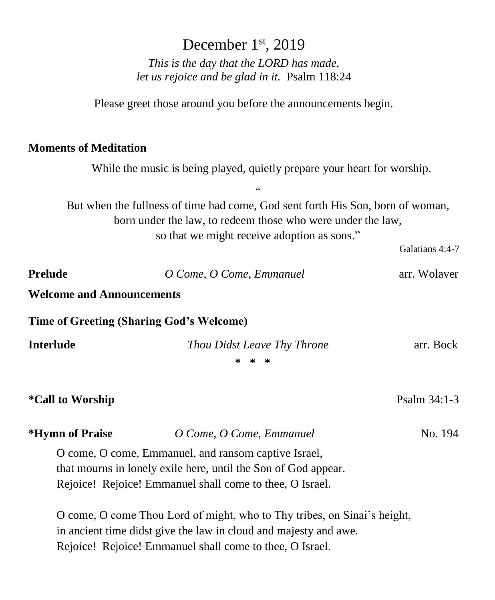|                                  | December 1st, 2019                                                                                                                                                                                       |                 |
|----------------------------------|----------------------------------------------------------------------------------------------------------------------------------------------------------------------------------------------------------|-----------------|
|                                  | This is the day that the LORD has made,                                                                                                                                                                  |                 |
|                                  | let us rejoice and be glad in it. Psalm 118:24                                                                                                                                                           |                 |
|                                  | Please greet those around you before the announcements begin.                                                                                                                                            |                 |
| <b>Moments of Meditation</b>     |                                                                                                                                                                                                          |                 |
|                                  | While the music is being played, quietly prepare your heart for worship.                                                                                                                                 |                 |
|                                  | $\zeta\,\zeta$                                                                                                                                                                                           |                 |
|                                  | But when the fullness of time had come, God sent forth His Son, born of woman,<br>born under the law, to redeem those who were under the law,<br>so that we might receive adoption as sons."             |                 |
|                                  |                                                                                                                                                                                                          | Galatians 4:4-7 |
| <b>Prelude</b>                   | O Come, O Come, Emmanuel                                                                                                                                                                                 | arr. Wolaver    |
| <b>Welcome and Announcements</b> |                                                                                                                                                                                                          |                 |
|                                  | <b>Time of Greeting (Sharing God's Welcome)</b>                                                                                                                                                          |                 |
| <b>Interlude</b>                 | Thou Didst Leave Thy Throne<br>∗<br>∗<br>∗                                                                                                                                                               | arr. Bock       |
| <i><b>*Call to Worship</b></i>   |                                                                                                                                                                                                          | Psalm 34:1-3    |
| <i><b>*Hymn of Praise</b></i>    | O Come, O Come, Emmanuel                                                                                                                                                                                 | No. 194         |
|                                  | O come, O come, Emmanuel, and ransom captive Israel,<br>that mourns in lonely exile here, until the Son of God appear.<br>Rejoice! Rejoice! Emmanuel shall come to thee, O Israel.                       |                 |
|                                  | O come, O come Thou Lord of might, who to Thy tribes, on Sinai's height,<br>in ancient time didst give the law in cloud and majesty and awe.<br>Rejoice! Rejoice! Emmanuel shall come to thee, O Israel. |                 |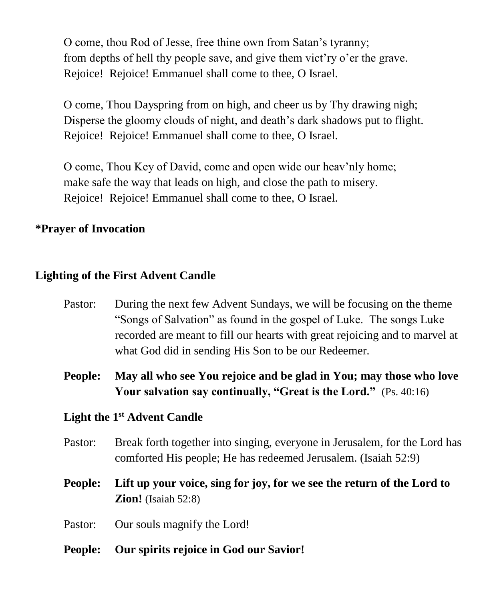O come, thou Rod of Jesse, free thine own from Satan's tyranny; from depths of hell thy people save, and give them vict'ry o'er the grave. Rejoice! Rejoice! Emmanuel shall come to thee, O Israel.

O come, Thou Dayspring from on high, and cheer us by Thy drawing nigh; Disperse the gloomy clouds of night, and death's dark shadows put to flight. Rejoice! Rejoice! Emmanuel shall come to thee, O Israel.

O come, Thou Key of David, come and open wide our heav'nly home; make safe the way that leads on high, and close the path to misery. Rejoice! Rejoice! Emmanuel shall come to thee, O Israel.

# **\*Prayer of Invocation**

### **Lighting of the First Advent Candle**

- Pastor: During the next few Advent Sundays, we will be focusing on the theme "Songs of Salvation" as found in the gospel of Luke. The songs Luke recorded are meant to fill our hearts with great rejoicing and to marvel at what God did in sending His Son to be our Redeemer.
- **People: May all who see You rejoice and be glad in You; may those who love Your salvation say continually, "Great is the Lord."** (Ps. 40:16)

## **Light the 1st Advent Candle**

- Pastor: Break forth together into singing, everyone in Jerusalem, for the Lord has comforted His people; He has redeemed Jerusalem. (Isaiah 52:9)
- **People: Lift up your voice, sing for joy, for we see the return of the Lord to Zion!** (Isaiah 52:8)
- Pastor: Our souls magnify the Lord!
- **People: Our spirits rejoice in God our Savior!**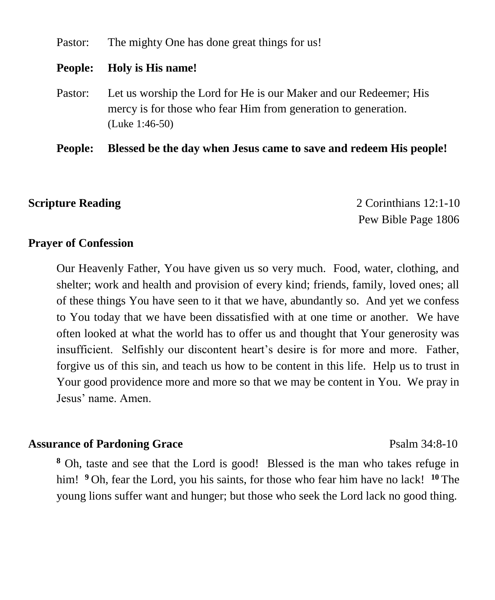Pastor: The mighty One has done great things for us!

#### **People: Holy is His name!**

Pastor: Let us worship the Lord for He is our Maker and our Redeemer; His mercy is for those who fear Him from generation to generation. (Luke 1:46-50)

**People: Blessed be the day when Jesus came to save and redeem His people!**

**Scripture Reading 2 Corinthians 12:1-10** Pew Bible Page 1806

### **Prayer of Confession**

Our Heavenly Father, You have given us so very much. Food, water, clothing, and shelter; work and health and provision of every kind; friends, family, loved ones; all of these things You have seen to it that we have, abundantly so. And yet we confess to You today that we have been dissatisfied with at one time or another. We have often looked at what the world has to offer us and thought that Your generosity was insufficient. Selfishly our discontent heart's desire is for more and more. Father, forgive us of this sin, and teach us how to be content in this life. Help us to trust in Your good providence more and more so that we may be content in You. We pray in Jesus' name. Amen.

### **Assurance of Pardoning Grace** Psalm 34:8-10

**<sup>8</sup>** Oh, taste and see that the Lord is good! Blessed is the man who takes refuge in him! <sup>9</sup>Oh, fear the Lord, you his saints, for those who fear him have no lack! <sup>10</sup>The young lions suffer want and hunger; but those who seek the Lord lack no good thing.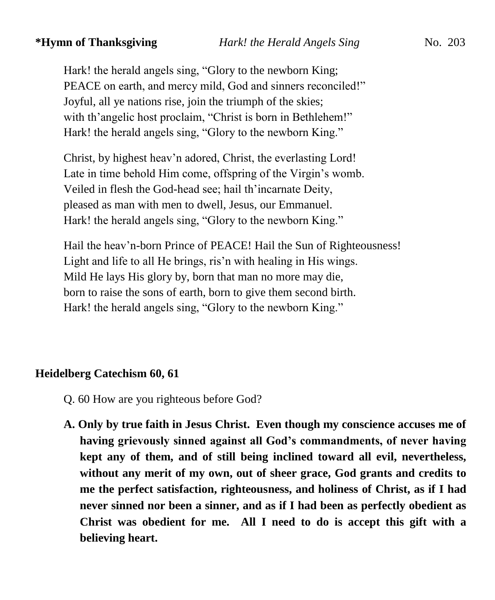Hark! the herald angels sing, "Glory to the newborn King; PEACE on earth, and mercy mild, God and sinners reconciled!" Joyful, all ye nations rise, join the triumph of the skies; with th'angelic host proclaim, "Christ is born in Bethlehem!" Hark! the herald angels sing, "Glory to the newborn King."

Christ, by highest heav'n adored, Christ, the everlasting Lord! Late in time behold Him come, offspring of the Virgin's womb. Veiled in flesh the God-head see; hail th'incarnate Deity, pleased as man with men to dwell, Jesus, our Emmanuel. Hark! the herald angels sing, "Glory to the newborn King."

Hail the heav'n-born Prince of PEACE! Hail the Sun of Righteousness! Light and life to all He brings, ris'n with healing in His wings. Mild He lays His glory by, born that man no more may die, born to raise the sons of earth, born to give them second birth. Hark! the herald angels sing, "Glory to the newborn King."

### **Heidelberg Catechism 60, 61**

- Q. 60 How are you righteous before God?
- **A. Only by true faith in Jesus Christ. Even though my conscience accuses me of having grievously sinned against all God's commandments, of never having kept any of them, and of still being inclined toward all evil, nevertheless, without any merit of my own, out of sheer grace, God grants and credits to me the perfect satisfaction, righteousness, and holiness of Christ, as if I had never sinned nor been a sinner, and as if I had been as perfectly obedient as Christ was obedient for me. All I need to do is accept this gift with a believing heart.**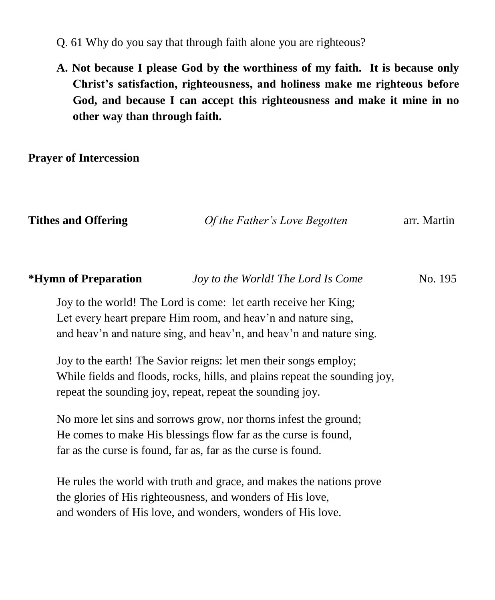- Q. 61 Why do you say that through faith alone you are righteous?
- **A. Not because I please God by the worthiness of my faith. It is because only Christ's satisfaction, righteousness, and holiness make me righteous before God, and because I can accept this righteousness and make it mine in no other way than through faith.**

**Prayer of Intercession**

**Tithes and Offering** *Of the Father's Love Begotten* arr. Martin **\*Hymn of Preparation** *Joy to the World! The Lord Is Come* No. 195 Joy to the world! The Lord is come: let earth receive her King; Let every heart prepare Him room, and heav'n and nature sing, and heav'n and nature sing, and heav'n, and heav'n and nature sing. Joy to the earth! The Savior reigns: let men their songs employ; While fields and floods, rocks, hills, and plains repeat the sounding joy, repeat the sounding joy, repeat, repeat the sounding joy. No more let sins and sorrows grow, nor thorns infest the ground; He comes to make His blessings flow far as the curse is found, far as the curse is found, far as, far as the curse is found. He rules the world with truth and grace, and makes the nations prove the glories of His righteousness, and wonders of His love, and wonders of His love, and wonders, wonders of His love.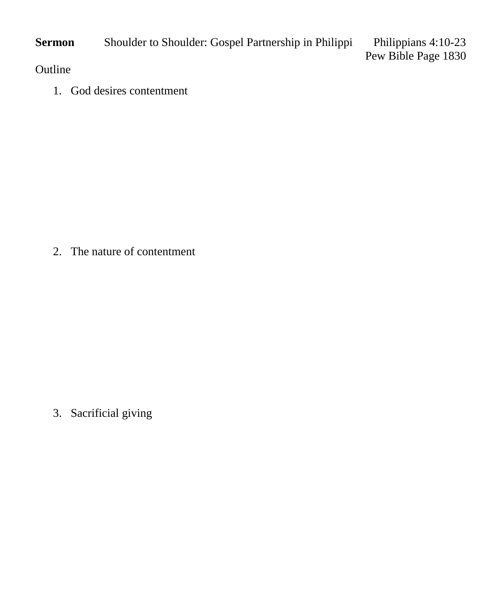| <b>Sermon</b> | Shoulder to Shoulder: Gospel Partnership in Philippi | Philippians $4:10-23$ |
|---------------|------------------------------------------------------|-----------------------|
|               |                                                      | Pew Bible Page 1830   |
| Outline       |                                                      |                       |

1. God desires contentment

2. The nature of contentment

3. Sacrificial giving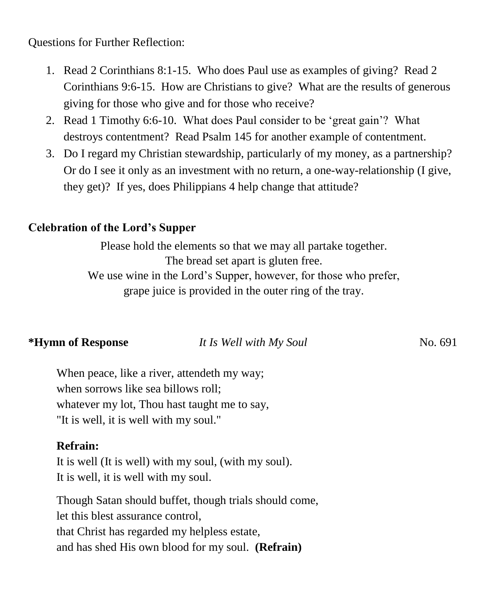Questions for Further Reflection:

- 1. Read 2 Corinthians 8:1-15. Who does Paul use as examples of giving? Read 2 Corinthians 9:6-15. How are Christians to give? What are the results of generous giving for those who give and for those who receive?
- 2. Read 1 Timothy 6:6-10. What does Paul consider to be 'great gain'? What destroys contentment? Read Psalm 145 for another example of contentment.
- 3. Do I regard my Christian stewardship, particularly of my money, as a partnership? Or do I see it only as an investment with no return, a one-way-relationship (I give, they get)? If yes, does Philippians 4 help change that attitude?

# **Celebration of the Lord's Supper**

Please hold the elements so that we may all partake together. The bread set apart is gluten free. We use wine in the Lord's Supper, however, for those who prefer, grape juice is provided in the outer ring of the tray.

**\*Hymn of Response** *It Is Well with My Soul* No. 691

When peace, like a river, attendeth my way; when sorrows like sea billows roll; whatever my lot, Thou hast taught me to say, "It is well, it is well with my soul."

## **Refrain:**

It is well (It is well) with my soul, (with my soul). It is well, it is well with my soul.

Though Satan should buffet, though trials should come, let this blest assurance control, that Christ has regarded my helpless estate, and has shed His own blood for my soul. **(Refrain)**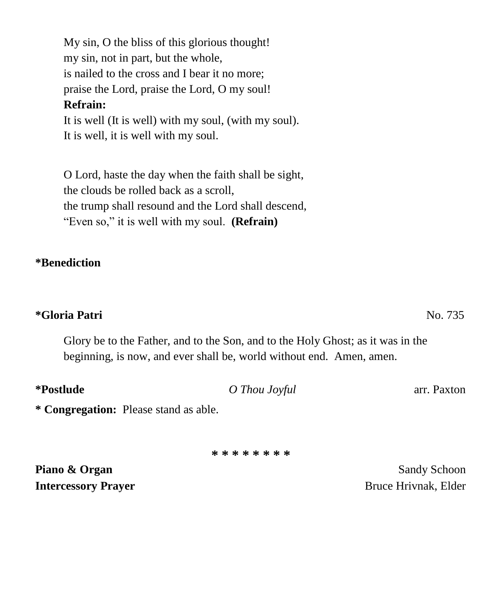My sin, O the bliss of this glorious thought! my sin, not in part, but the whole, is nailed to the cross and I bear it no more; praise the Lord, praise the Lord, O my soul! **Refrain:** It is well (It is well) with my soul, (with my soul). It is well, it is well with my soul.

O Lord, haste the day when the faith shall be sight, the clouds be rolled back as a scroll, the trump shall resound and the Lord shall descend, "Even so," it is well with my soul. **(Refrain)**

## **\*Benediction**

#### **\*Gloria Patri** No. 735

Glory be to the Father, and to the Son, and to the Holy Ghost; as it was in the beginning, is now, and ever shall be, world without end. Amen, amen.

**\*Postlude** *O Thou Joyful* arr. Paxton

**\* Congregation:** Please stand as able.

**\* \* \* \* \* \* \* \***

**Intercessory Prayer** Bruce Hrivnak, Elder

**Piano & Organ** Sandy Schoon **Sandy Schoon**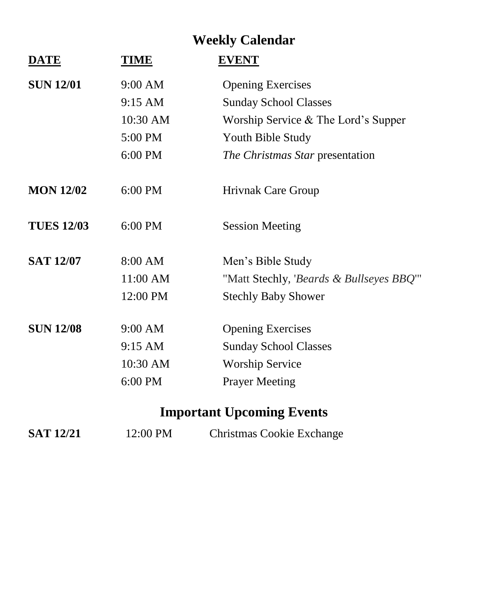# **Weekly Calendar**

| <b>DATE</b>       | <b>TIME</b> | <b>EVENT</b>                             |
|-------------------|-------------|------------------------------------------|
| <b>SUN 12/01</b>  | 9:00 AM     | <b>Opening Exercises</b>                 |
|                   | 9:15 AM     | <b>Sunday School Classes</b>             |
|                   | 10:30 AM    | Worship Service $&$ The Lord's Supper    |
|                   | 5:00 PM     | Youth Bible Study                        |
|                   | 6:00 PM     | The Christmas Star presentation          |
| <b>MON 12/02</b>  | $6:00$ PM   | Hrivnak Care Group                       |
| <b>TUES 12/03</b> | 6:00 PM     | <b>Session Meeting</b>                   |
| <b>SAT 12/07</b>  | 8:00 AM     | Men's Bible Study                        |
|                   | 11:00 AM    | "Matt Stechly, 'Beards & Bullseyes BBQ'" |
|                   | 12:00 PM    | <b>Stechly Baby Shower</b>               |
| <b>SUN 12/08</b>  | 9:00 AM     | <b>Opening Exercises</b>                 |
|                   | 9:15 AM     | <b>Sunday School Classes</b>             |
|                   | 10:30 AM    | <b>Worship Service</b>                   |
|                   | 6:00 PM     | <b>Prayer Meeting</b>                    |
|                   |             | <b>Important Upcoming Events</b>         |

**SAT 12/21** 12:00 PM Christmas Cookie Exchange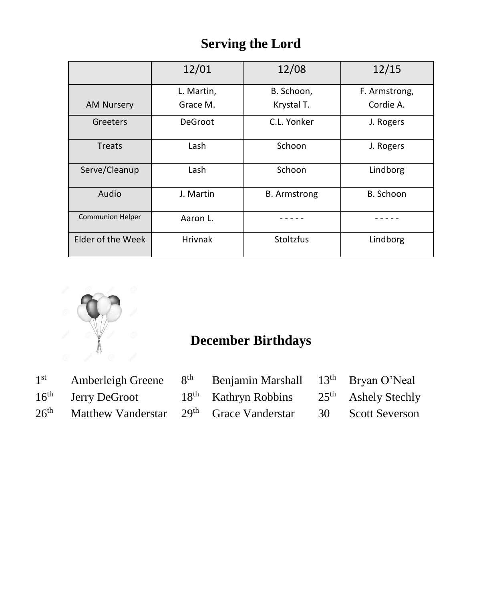# **Serving the Lord**

|                         | 12/01          | 12/08               | 12/15         |
|-------------------------|----------------|---------------------|---------------|
|                         | L. Martin,     | B. Schoon,          | F. Armstrong, |
| <b>AM Nursery</b>       | Grace M.       | Krystal T.          | Cordie A.     |
| Greeters                | <b>DeGroot</b> | C.L. Yonker         | J. Rogers     |
| Treats                  | Lash           | Schoon              | J. Rogers     |
| Serve/Cleanup           | Lash           | Schoon              | Lindborg      |
| Audio                   | J. Martin      | <b>B.</b> Armstrong | B. Schoon     |
| <b>Communion Helper</b> | Aaron L.       |                     |               |
| Elder of the Week       | <b>Hrivnak</b> | Stoltzfus           | Lindborg      |



# **December Birthdays**

- 1 st Amberleigh Greene 8<sup>th</sup> Benjamin Marshall  $13<sup>th</sup>$
- $16<sup>th</sup>$ Jerry DeGroot 18<sup>th</sup>
- 26<sup>th</sup> Matthew Vanderstar 29<sup>th</sup> Grace Vanderstar 30 Scott Severson
- Kathryn Robbins  $25<sup>th</sup>$
- Bryan O'Neal
	- Ashely Stechly
	-
-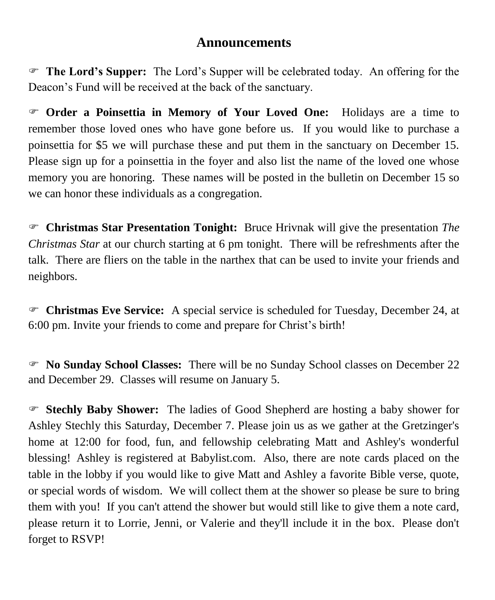# **Announcements**

 **The Lord's Supper:** The Lord's Supper will be celebrated today. An offering for the Deacon's Fund will be received at the back of the sanctuary.

 **Order a Poinsettia in Memory of Your Loved One:** Holidays are a time to remember those loved ones who have gone before us. If you would like to purchase a poinsettia for \$5 we will purchase these and put them in the sanctuary on December 15. Please sign up for a poinsettia in the foyer and also list the name of the loved one whose memory you are honoring. These names will be posted in the bulletin on December 15 so we can honor these individuals as a congregation.

 **Christmas Star Presentation Tonight:** Bruce Hrivnak will give the presentation *The Christmas Star* at our church starting at 6 pm tonight. There will be refreshments after the talk. There are fliers on the table in the narthex that can be used to invite your friends and neighbors.

 **Christmas Eve Service:** A special service is scheduled for Tuesday, December 24, at 6:00 pm. Invite your friends to come and prepare for Christ's birth!

 **No Sunday School Classes:** There will be no Sunday School classes on December 22 and December 29. Classes will resume on January 5.

 **Stechly Baby Shower:** The ladies of Good Shepherd are hosting a baby shower for Ashley Stechly this Saturday, December 7. Please join us as we gather at the Gretzinger's home at 12:00 for food, fun, and fellowship celebrating Matt and Ashley's wonderful blessing! Ashley is registered at Babylist.com. Also, there are note cards placed on the table in the lobby if you would like to give Matt and Ashley a favorite Bible verse, quote, or special words of wisdom. We will collect them at the shower so please be sure to bring them with you! If you can't attend the shower but would still like to give them a note card, please return it to Lorrie, Jenni, or Valerie and they'll include it in the box. Please don't forget to RSVP!